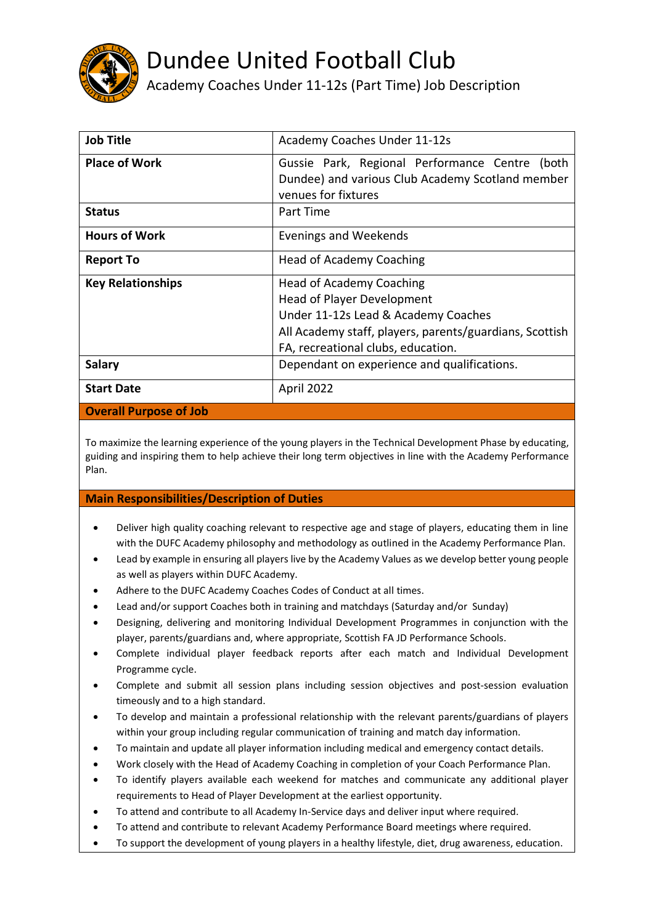

## Dundee United Football Club

## Academy Coaches Under 11-12s (Part Time) Job Description

| <b>Job Title</b>              | Academy Coaches Under 11-12s                                                                       |
|-------------------------------|----------------------------------------------------------------------------------------------------|
| <b>Place of Work</b>          | Gussie Park, Regional Performance Centre (both<br>Dundee) and various Club Academy Scotland member |
|                               | venues for fixtures                                                                                |
| <b>Status</b>                 | Part Time                                                                                          |
| <b>Hours of Work</b>          | Evenings and Weekends                                                                              |
| <b>Report To</b>              | <b>Head of Academy Coaching</b>                                                                    |
| <b>Key Relationships</b>      | <b>Head of Academy Coaching</b>                                                                    |
|                               | <b>Head of Player Development</b>                                                                  |
|                               | Under 11-12s Lead & Academy Coaches                                                                |
|                               | All Academy staff, players, parents/guardians, Scottish                                            |
|                               | FA, recreational clubs, education.                                                                 |
| <b>Salary</b>                 | Dependant on experience and qualifications.                                                        |
| <b>Start Date</b>             | April 2022                                                                                         |
| <b>Overall Purpose of Job</b> |                                                                                                    |

To maximize the learning experience of the young players in the Technical Development Phase by educating, guiding and inspiring them to help achieve their long term objectives in line with the Academy Performance Plan.

## **Main Responsibilities/Description of Duties**

- Deliver high quality coaching relevant to respective age and stage of players, educating them in line with the DUFC Academy philosophy and methodology as outlined in the Academy Performance Plan.
- Lead by example in ensuring all players live by the Academy Values as we develop better young people as well as players within DUFC Academy.
- Adhere to the DUFC Academy Coaches Codes of Conduct at all times.
- Lead and/or support Coaches both in training and matchdays (Saturday and/or Sunday)
- Designing, delivering and monitoring Individual Development Programmes in conjunction with the player, parents/guardians and, where appropriate, Scottish FA JD Performance Schools.
- Complete individual player feedback reports after each match and Individual Development Programme cycle.
- Complete and submit all session plans including session objectives and post-session evaluation timeously and to a high standard.
- To develop and maintain a professional relationship with the relevant parents/guardians of players within your group including regular communication of training and match day information.
- To maintain and update all player information including medical and emergency contact details.
- Work closely with the Head of Academy Coaching in completion of your Coach Performance Plan.
- To identify players available each weekend for matches and communicate any additional player requirements to Head of Player Development at the earliest opportunity.
- To attend and contribute to all Academy In-Service days and deliver input where required.
- To attend and contribute to relevant Academy Performance Board meetings where required.
- To support the development of young players in a healthy lifestyle, diet, drug awareness, education.